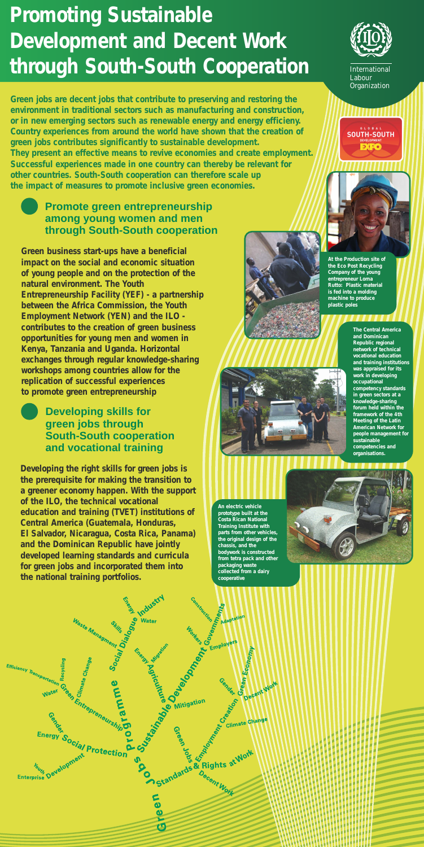**Green jobs are decent jobs that contribute to preserving and restoring the environment in traditional sectors such as manufacturing and construction, or in new emerging sectors such as renewable energy and energy efficieny. Country experiences from around the world have shown that the creation of green jobs contributes significantly to sustainable development. They present an effective means to revive economies and create employment. Successful experiences made in one country can thereby be relevant for other countries. South-South cooperation can therefore scale up the impact of measures to promote inclusive green economies.**

**Promote green entrepreneurship**



### **among young women and men through South-South cooperation**

**Developing the right skills for green jobs is the prerequisite for making the transition to a greener economy happen. With the support of the ILO, the technical vocational education and training (TVET) institutions of Central America (Guatemala, Honduras, El Salvador, Nicaragua, Costa Rica, Panama) and the Dominican Republic have jointly developed learning standards and curricula for green jobs and incorporated them into the national training portfolios.**

Water



**Developing skills for**



#### **green jobs through South-South cooperation and vocational training**

International Labour **Organization** 

**SOUTH-SOUTH** 

**DEVELOPMENT** 

**EXFO** 

**Green business start-ups have a beneficial impact on the social and economic situation of young people and on the protection of the natural environment. The Youth Entrepreneurship Facility (YEF) - a partnership between the Africa Commission, the Youth Employment Network (YEN) and the ILO contributes to the creation of green business opportunities for young men and women in Kenya, Tanzania and Uganda. Horizontal exchanges through regular knowledge-sharing workshops among countries allow for the replication of successful experiences to promote green entrepreneurship**

**The Central America and Dominican Republic regional network of technical vocational education and training institutions was appraised for its work in developing occupational competency standards in green sectors at a knowledge-sharing forum held within the framework of the 4th Meeting of the Latin** 

**American Network for people management for sustainable competencies and organisations.** 



**An electric vehicle prototype built at the Costa Rican National Training Institute with parts from other vehicles, the original design of the chassis, and the bodywork is constructed from tetra pack and other packaging waste collected from a dairy cooperative**



# **Promoting Sustainable Development and Decent Work through South-South Cooperation**

**At the Production site of the Eco Post Recycling Company of the young entrepreneur Lorna Rutto: Plastic material is fed into a molding machine to produce plastic poles**